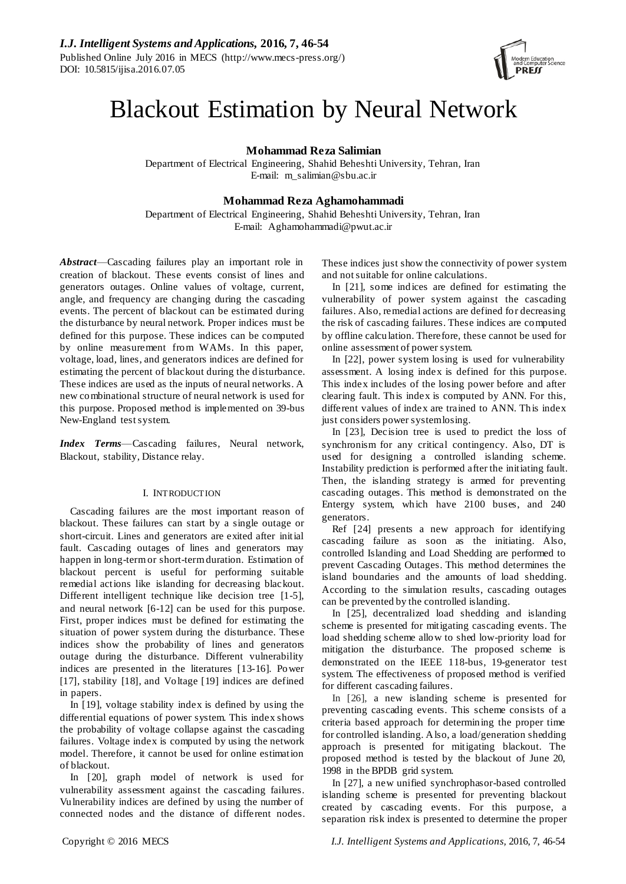

# Blackout Estimation by Neural Network

**Mohammad Reza Salimian**

Department of Electrical Engineering, Shahid Beheshti University, Tehran, Iran E-mail: m\_salimian@sbu.ac.ir

# **Mohammad Reza Aghamohammadi**

Department of Electrical Engineering, Shahid Beheshti University, Tehran, Iran E-mail: Aghamohammadi@pwut.ac.ir

*Abstract*—Cascading failures play an important role in creation of blackout. These events consist of lines and generators outages. Online values of voltage, current, angle, and frequency are changing during the cascading events. The percent of blackout can be estimated during the disturbance by neural network. Proper indices must be defined for this purpose. These indices can be computed by online measurement from WAMs. In this paper, voltage, load, lines, and generators indices are defined for estimating the percent of blackout during the disturbance. These indices are used as the inputs of neural networks. A new combinational structure of neural network is used for this purpose. Proposed method is implemented on 39-bus New-England test system.

*Index Terms*—Cascading failures, Neural network, Blackout, stability, Distance relay.

## I. INTRODUCTION

Cascading failures are the most important reason of blackout. These failures can start by a single outage or short-circuit. Lines and generators are exited after initial fault. Cascading outages of lines and generators may happen in long-term or short-term duration. Estimation of blackout percent is useful for performing suitable remedial actions like islanding for decreasing blackout. Different intelligent technique like decision tree [1-5], and neural network [6-12] can be used for this purpose. First, proper indices must be defined for estimating the situation of power system during the disturbance. These indices show the probability of lines and generators outage during the disturbance. Different vulnerability indices are presented in the literatures [13-16]. Power [17], stability [18], and Voltage [19] indices are defined in papers.

In [19], voltage stability index is defined by using the differential equations of power system. This index shows the probability of voltage collapse against the cascading failures. Voltage index is computed by using the network model. Therefore, it cannot be used for online estimation of blackout.

In [20], graph model of network is used for vulnerability assessment against the cascading failures. Vulnerability indices are defined by using the number of connected nodes and the distance of different nodes. These indices just show the connectivity of power system and not suitable for online calculations.

In [21], some indices are defined for estimating the vulnerability of power system against the cascading failures. Also, remedial actions are defined for decreasing the risk of cascading failures. These indices are computed by offline calculation. Therefore, these cannot be used for online assessment of power system.

In [22], power system losing is used for vulnerability assessment. A losing index is defined for this purpose. This index includes of the losing power before and after clearing fault. This index is computed by ANN. For this, different values of index are trained to ANN. This index just considers power system losing.

In [23], Decision tree is used to predict the loss of synchronism for any critical contingency. Also, DT is used for designing a controlled islanding scheme. Instability prediction is performed after the initiating fault. Then, the islanding strategy is armed for preventing cascading outages. This method is demonstrated on the Entergy system, which have 2100 buses, and 240 generators.

Ref [24] presents a new approach for identifying cascading failure as soon as the initiating. Also, controlled Islanding and Load Shedding are performed to prevent Cascading Outages. This method determines the island boundaries and the amounts of load shedding. According to the simulation results, cascading outages can be prevented by the controlled islanding.

In [25], decentralized load shedding and islanding scheme is presented for mitigating cascading events. The load shedding scheme allow to shed low-priority load for mitigation the disturbance. The proposed scheme is demonstrated on the IEEE 118-bus, 19-generator test system. The effectiveness of proposed method is verified for different cascading failures.

In [26], a new islanding scheme is presented for preventing cascading events. This scheme consists of a criteria based approach for determining the proper time for controlled islanding. Also, a load/generation shedding approach is presented for mitigating blackout. The proposed method is tested by the blackout of June 20, 1998 in the BPDB grid system.

In [27], a new unified synchrophasor-based controlled islanding scheme is presented for preventing blackout created by cascading events. For this purpose, a separation risk index is presented to determine the proper

Copyright © 2016 MECS *I.J. Intelligent Systems and Applications,* 2016, 7, 46-54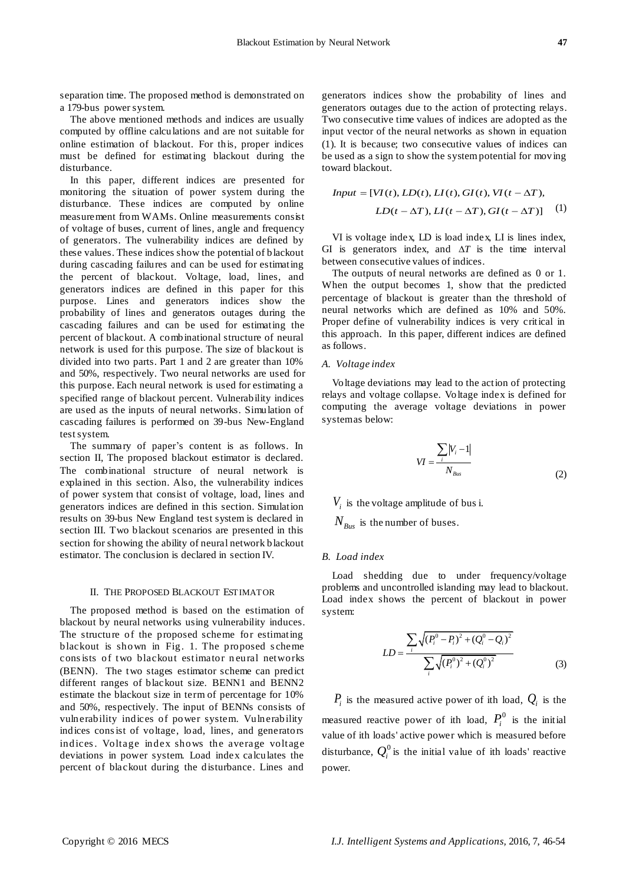separation time. The proposed method is demonstrated on a 179-bus power system.

The above mentioned methods and indices are usually computed by offline calculations and are not suitable for online estimation of blackout. For this, proper indices must be defined for estimating blackout during the disturbance.

In this paper, different indices are presented for monitoring the situation of power system during the disturbance. These indices are computed by online measurement from WAMs. Online measurements consist of voltage of buses, current of lines, angle and frequency of generators. The vulnerability indices are defined by these values. These indices show the potential of blackout during cascading failures and can be used for estimating the percent of blackout. Voltage, load, lines, and generators indices are defined in this paper for this purpose. Lines and generators indices show the probability of lines and generators outages during the cascading failures and can be used for estimating the percent of blackout. A combinational structure of neural network is used for this purpose. The size of blackout is divided into two parts. Part 1 and 2 are greater than 10% and 50%, respectively. Two neural networks are used for this purpose. Each neural network is used for estimating a specified range of blackout percent. Vulnerability indices are used as the inputs of neural networks. Simulation of cascading failures is performed on 39-bus New-England test system.

The summary of paper's content is as follows. In section II, The proposed blackout estimator is declared. The combinational structure of neural network is explained in this section. Also, the vulnerability indices of power system that consist of voltage, load, lines and generators indices are defined in this section. Simulation results on 39-bus New England test system is declared in section III. Two blackout scenarios are presented in this section for showing the ability of neural network blackout estimator. The conclusion is declared in section IV.

#### II. THE PROPOSED BLACKOUT ESTIMATOR

The proposed method is based on the estimation of blackout by neural networks using vulnerability induces. The structure of the proposed scheme for estimating blackout is shown in Fig. 1. The proposed s cheme cons ists of two blackout estimator n eural networks (BENN). The two stages estimator scheme can predict different ranges of blackout size. BENN1 and BENN2 estimate the blackout size in term of percentage for 10% and 50%, respectively. The input of BENNs consists of vulnerability indices of power system. Vulnerability indices cons ist of voltage, load, lines, and generators indices . Voltage index shows the average voltage deviations in power system. Load index calculates the percent of blackout during the disturbance. Lines and

generators indices show the probability of lines and generators outages due to the action of protecting relays. Two consecutive time values of indices are adopted as the input vector of the neural networks as shown in equation (1). It is because; two consecutive values of indices can be used as a sign to show the system potential for moving toward blackout.

$$
Input = [VI(t), LD(t), LI(t), GI(t), VI(t - \Delta T),
$$
  

$$
LD(t - \Delta T), LI(t - \Delta T), GI(t - \Delta T)]
$$
 (1)

VI is voltage index, LD is load index, LI is lines index, GI is generators index, and  $\Delta T$  is the time interval between consecutive values of indices.

The outputs of neural networks are defined as 0 or 1. When the output becomes 1, show that the predicted percentage of blackout is greater than the threshold of neural networks which are defined as 10% and 50%. Proper define of vulnerability indices is very critical in this approach. In this paper, different indices are defined as follows.

## *A. Voltage index*

Voltage deviations may lead to the action of protecting relays and voltage collapse. Voltage index is defined for computing the average voltage deviations in power system as below:

$$
VI = \frac{\sum_{i} |V_i - 1|}{N_{Bus}}
$$
 (2)

 $V_i$  is the voltage amplitude of bus i.

 $N_{\textit{Bus}}$  is the number of buses.

#### *B. Load index*

Load shedding due to under frequency/voltage problems and uncontrolled islanding may lead to blackout. Load index shows the percent of blackout in power system:

$$
LD = \frac{\sum_{i} \sqrt{(P_i^0 - P_i)^2 + (Q_i^0 - Q_i)^2}}{\sum_{i} \sqrt{(P_i^0)^2 + (Q_i^0)^2}}
$$
(3)

 $P_i$  is the measured active power of ith load,  $Q_i$  is the measured reactive power of ith load,  $P_i^0$  is the initial value of ith loads' active power which is measured before disturbance,  $Q_i^0$  is the initial value of ith loads' reactive power.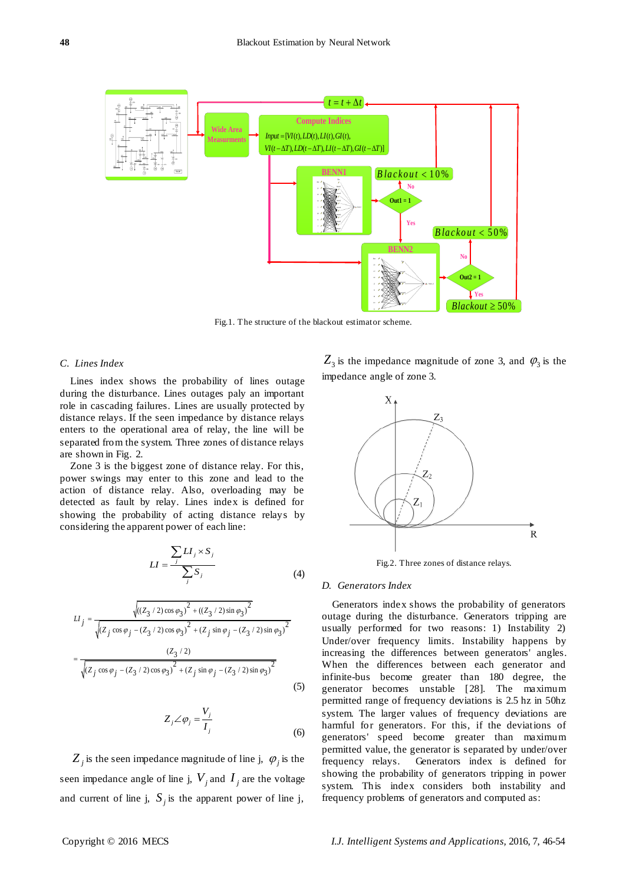

Fig.1. The structure of the blackout estimator scheme.

## *C. Lines Index*

Lines index shows the probability of lines outage during the disturbance. Lines outages paly an important role in cascading failures. Lines are usually protected by distance relays. If the seen impedance by distance relays enters to the operational area of relay, the line will be separated from the system. Three zones of distance relays are shown in Fig. 2.

Zone 3 is the biggest zone of distance relay. For this, power swings may enter to this zone and lead to the action of distance relay. Also, overloading may be detected as fault by relay. Lines index is defined for showing the probability of acting distance relays by considering the apparent power of each line:

$$
LI = \frac{\sum_{j} LI_{j} \times S_{j}}{\sum_{j} S_{j}}
$$
 (4)

$$
LI_{j} = \frac{\sqrt{((Z_{3}/2)\cos\varphi_{3})^{2} + ((Z_{3}/2)\sin\varphi_{3})^{2}}}{\sqrt{(Z_{j}\cos\varphi_{j} - (Z_{3}/2)\cos\varphi_{3})^{2} + (Z_{j}\sin\varphi_{j} - (Z_{3}/2)\sin\varphi_{3})^{2}}}
$$
  
= 
$$
\frac{(Z_{3}/2)}{\sqrt{(Z_{j}\cos\varphi_{j} - (Z_{3}/2)\cos\varphi_{3})^{2} + (Z_{j}\sin\varphi_{j} - (Z_{3}/2)\sin\varphi_{3})^{2}}}
$$
(5)

$$
Z_j \angle \varphi_j = \frac{V_j}{I_j} \tag{6}
$$

 $Z_j$  is the seen impedance magnitude of line j,  $\varphi_j$  is the seen impedance angle of line j,  $V_j$  and  $I_j$  are the voltage and current of line j,  $S_j$  is the apparent power of line j,

 $Z_3$  is the impedance magnitude of zone 3, and  $\varphi_3$  is the impedance angle of zone 3.



Fig.2. Three zones of distance relays.

#### *D. Generators Index*

Generators index shows the probability of generators outage during the disturbance. Generators tripping are usually performed for two reasons: 1) Instability 2) Under/over frequency limits. Instability happens by increasing the differences between generators' angles. When the differences between each generator and infinite-bus become greater than 180 degree, the generator becomes unstable [28]. The maximum permitted range of frequency deviations is 2.5 hz in 50hz system. The larger values of frequency deviations are harmful for generators. For this, if the deviations of generators' speed become greater than maximum permitted value, the generator is separated by under/over frequency relays. Generators index is defined for showing the probability of generators tripping in power system. This index considers both instability and frequency problems of generators and computed as: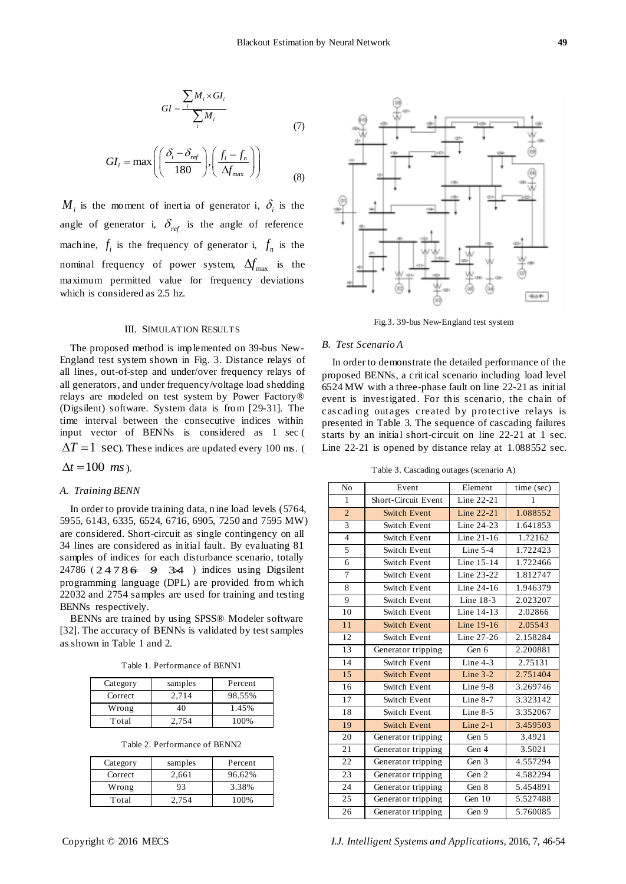$$
GI = \frac{\sum_{i} M_{i} \times GI_{i}}{\sum_{i} M_{i}}
$$
\n(7)

$$
GI_i = \max\left( \left( \frac{\delta_i - \delta_{ref}}{180} \right), \left( \frac{f_i - f_n}{\Delta f_{\text{max}}} \right) \right)
$$
(8)

 $M_i$  is the moment of inertia of generator i,  $\delta_i$  is the angle of generator i,  $\delta_{ref}$  is the angle of reference machine,  $f_i$  is the frequency of generator i,  $f_n$  is the nominal frequency of power system,  $\Delta f_{\rm max}$  is the maximum permitted value for frequency deviations which is considered as 2.5 hz.

#### III. SIMULATION RESULTS

The proposed method is implemented on 39-bus New-England test system shown in Fig. 3. Distance relays of all lines, out-of-step and under/over frequency relays of all generators, and under frequency/voltage load shedding relays are modeled on test system by Power Factory® (Digsilent) software. System data is from [29-31]. The time interval between the consecutive indices within input vector of BENNs is considered as 1 sec (  $\Delta T = 1$  sec). These indices are updated every 100 ms. (

 $\Delta t = 100$  *ms*).

#### *A. Training BENN*

In order to provide training data, n ine load levels (5764, 5955, 6143, 6335, 6524, 6716, 6905, 7250 and 7595 MW) are considered. Short-circuit as single contingency on all 34 lines are considered as initial fault. By evaluating 81 samples of indices for each disturbance scenario, totally  $24786 (24786 + 934)$  indices using Digsilent programming language (DPL) are provided from which 22032 and 2754 samples are used for training and testing BENNs respectively.

BENNs are trained by using SPSS® Modeler software [32]. The accuracy of BENNs is validated by test samples as shown in Table 1 and 2.

| Table 1. Performance of BENN1 |  |
|-------------------------------|--|
|-------------------------------|--|

| Category | samples | Percent |
|----------|---------|---------|
| Correct  | 2.714   | 98.55%  |
| Wrong    | 40      | 1.45%   |
| Total    | 2.754   | 100\%   |

|  | Table 2. Performance of BENN2 |  |
|--|-------------------------------|--|
|--|-------------------------------|--|

| Category | samples | Percent |
|----------|---------|---------|
| Correct  | 2,661   | 96.62%  |
| Wrong    | 93      | 3.38%   |
| Total    | 2.754   | 100%    |



Fig.3. 39-bus New-England test system

## *B. Test Scenario A*

In order to demonstrate the detailed performance of the proposed BENNs, a critical scenario including load level 6524 MW with a three-phase fault on line 22-21 as initial event is investigated. For this scenario, the chain of cas cading outages created by protective relays is presented in Table 3. The sequence of cascading failures starts by an initial short-circuit on line 22-21 at 1 sec. Line 22-21 is opened by distance relay at 1.088552 sec.

Table 3. Cascading outages (scenario A)

| N <sub>o</sub> | Event               | Element    | time (sec) |
|----------------|---------------------|------------|------------|
| 1              | Short-Circuit Event | Line 22-21 | 1          |
| $\overline{2}$ | <b>Switch Event</b> | Line 22-21 | 1.088552   |
| 3              | Switch Event        | Line 24-23 | 1.641853   |
| $\overline{4}$ | Switch Event        | Line 21-16 | 1.72162    |
| 5              | Switch Event        | Line $5-4$ | 1.722423   |
| 6              | Switch Event        | Line 15-14 | 1.722466   |
| $\overline{7}$ | Switch Event        | Line 23-22 | 1.812747   |
| 8              | Switch Event        | Line 24-16 | 1.946379   |
| 9              | Switch Event        | Line 18-3  | 2.023207   |
| 10             | Switch Event        | Line 14-13 | 2.02866    |
| 11             | <b>Switch Event</b> | Line 19-16 | 2.05543    |
| 12             | Switch Event        | Line 27-26 | 2.158284   |
| 13             | Generator tripping  | Gen 6      | 2.200881   |
| 14             | Switch Event        | Line $4-3$ | 2.75131    |
| 15             | <b>Switch Event</b> | Line $3-2$ | 2.751404   |
| 16             | Switch Event        | Line 9-8   | 3.269746   |
| 17             | Switch Event        | Line $8-7$ | 3.323142   |
| 18             | Switch Event        | Line $8-5$ | 3.352067   |
| 19             | <b>Switch Event</b> | Line $2-1$ | 3.459503   |
| 20             | Generator tripping  | Gen 5      | 3.4921     |
| 21             | Generator tripping  | Gen 4      | 3.5021     |
| 22             | Generator tripping  | Gen 3      | 4.557294   |
| 23             | Generator tripping  | Gen 2      | 4.582294   |
| 24             | Generator tripping  | Gen 8      | 5.454891   |
| 25             | Generator tripping  | Gen 10     | 5.527488   |
| 26             | Generator tripping  | Gen 9      | 5.760085   |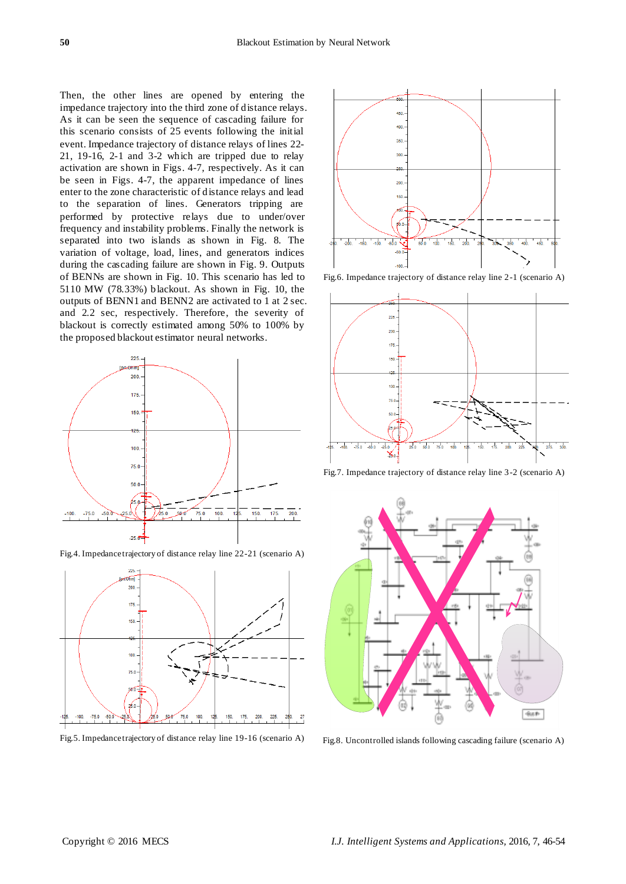Then, the other lines are opened by entering the impedance trajectory into the third zone of distance relays. As it can be seen the sequence of cascading failure for this scenario consists of 25 events following the initial event. Impedance trajectory of distance relays of lines 22- 21, 19-16, 2-1 and 3-2 which are tripped due to relay activation are shown in Figs. 4-7, respectively. As it can be seen in Figs. 4-7, the apparent impedance of lines enter to the zone characteristic of distance relays and lead to the separation of lines. Generators tripping are performed by protective relays due to under/over frequency and instability problems. Finally the network is separated into two islands as shown in Fig. 8. The variation of voltage, load, lines, and generators indices during the cascading failure are shown in Fig. 9. Outputs of BENNs are shown in Fig. 10. This scenario has led to 5110 MW (78.33%) blackout. As shown in Fig. 10, the outputs of BENN1 and BENN2 are activated to 1 at 2 sec. and 2.2 sec, respectively. Therefore, the severity of blackout is correctly estimated among 50% to 100% by the proposed blackout estimator neural networks.



Fig.4. Impedance trajectory of distance relay line 22-21 (scenario A)



Fig.5. Impedance trajectory of distance relay line 19-16 (scenario A)



Fig.6. Impedance trajectory of distance relay line 2-1 (scenario A)



Fig.7. Impedance trajectory of distance relay line 3-2 (scenario A)



Fig.8. Uncontrolled islands following cascading failure (scenario A)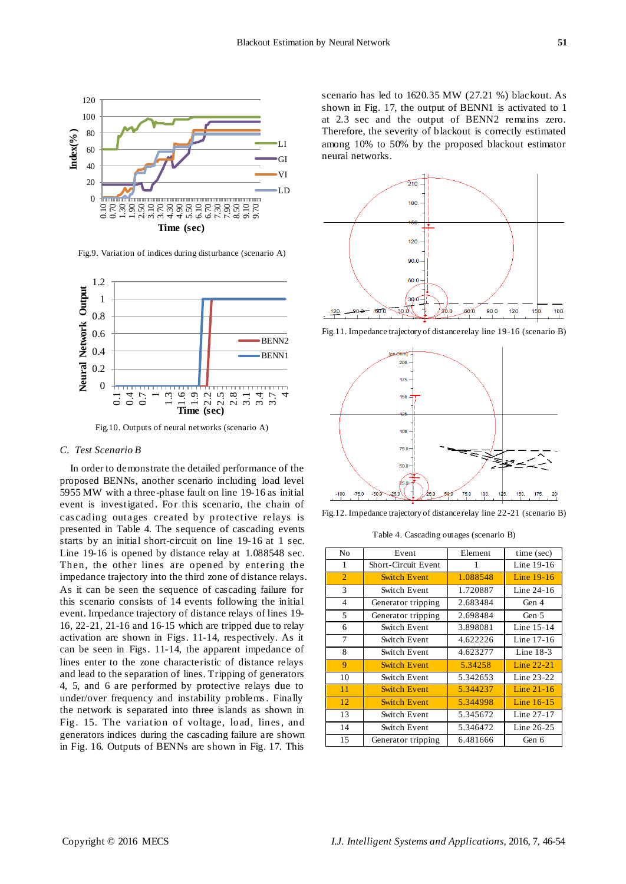

Fig.9. Variation of indices during disturbance (scenario A)



Fig.10. Outputs of neural networks (scenario A)

## *C. Test Scenario B*

In order to demonstrate the detailed performance of the proposed BENNs, another scenario including load level 5955 MW with a three-phase fault on line 19-16 as initial event is investigated. For this scenario, the chain of cas cading outages created by protective relays is presented in Table 4. The sequence of cascading events starts by an initial short-circuit on line 19-16 at 1 sec. Line 19-16 is opened by distance relay at 1.088548 sec. Then, the other lines are opened by entering the impedance trajectory into the third zone of distance relays. As it can be seen the sequence of cascading failure for this scenario consists of 14 events following the initial event. Impedance trajectory of distance relays of lines 19- 16, 22-21, 21-16 and 16-15 which are tripped due to relay activation are shown in Figs. 11-14, respectively. As it can be seen in Figs. 11-14, the apparent impedance of lines enter to the zone characteristic of distance relays and lead to the separation of lines. Tripping of generators 4, 5, and 6 are performed by protective relays due to under/over frequency and instability problems . Finally the network is separated into three islands as shown in Fig. 15. The variation of voltage, load, lines, and generators indices during the cascading failure are shown in Fig. 16. Outputs of BENNs are shown in Fig. 17. This

scenario has led to 1620.35 MW (27.21 %) blackout. As shown in Fig. 17, the output of BENN1 is activated to 1 at 2.3 sec and the output of BENN2 remains zero. Therefore, the severity of blackout is correctly estimated among 10% to 50% by the proposed blackout estimator neural networks.



Fig.11. Impedance trajectory of distance relay line 19-16 (scenario B)



Fig.12. Impedance trajectory of distance relay line 22-21 (scenario B)

Table 4. Cascading outages (scenario B)

| No             | Event               | Element  | time (sec)   |
|----------------|---------------------|----------|--------------|
| 1              | Short-Circuit Event | 1        | Line 19-16   |
| $\overline{2}$ | <b>Switch Event</b> | 1.088548 | Line 19-16   |
| 3              | Switch Event        | 1.720887 | Line 24-16   |
| 4              | Generator tripping  | 2.683484 | Gen 4        |
| 5              | Generator tripping  | 2.698484 | Gen 5        |
| 6              | Switch Event        | 3.898081 | Line $15-14$ |
| 7              | Switch Event        | 4.622226 | Line 17-16   |
| 8              | Switch Event        | 4.623277 | Line $18-3$  |
| 9              | <b>Switch Event</b> | 5.34258  | Line $22-21$ |
| 10             | Switch Event        | 5.342653 | Line 23-22   |
| 11             | <b>Switch Event</b> | 5.344237 | Line 21-16   |
| 12             | <b>Switch Event</b> | 5.344998 | Line $16-15$ |
| 13             | Switch Event        | 5.345672 | Line 27-17   |
| 14             | Switch Event        | 5.346472 | Line 26-25   |
| 15             | Generator tripping  | 6.481666 | Gen 6        |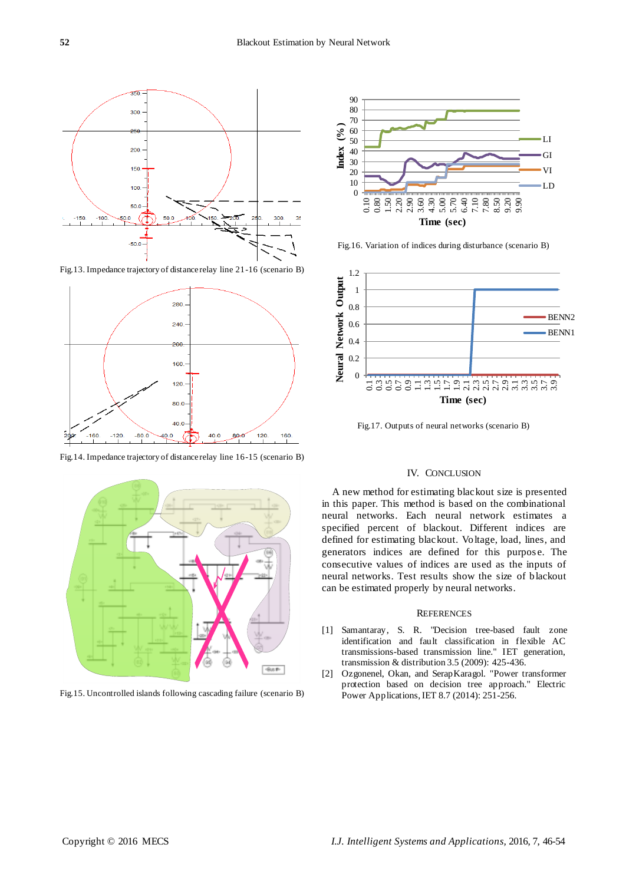

Fig.13. Impedance trajectory of distance relay line 21-16 (scenario B)



Fig.14. Impedance trajectory of distance relay line 16-15 (scenario B)



Fig.15. Uncontrolled islands following cascading failure (scenario B)



Fig.16. Variation of indices during disturbance (scenario B)



Fig.17. Outputs of neural networks (scenario B)

## IV. CONCLUSION

A new method for estimating blackout size is presented in this paper. This method is based on the combinational neural networks. Each neural network estimates a specified percent of blackout. Different indices are defined for estimating blackout. Voltage, load, lines, and generators indices are defined for this purpos e. The consecutive values of indices are used as the inputs of neural networks. Test results show the size of blackout can be estimated properly by neural networks.

#### **REFERENCES**

- [1] Samantaray, S. R. "Decision tree-based fault zone identification and fault classification in flexible AC transmissions-based transmission line." IET generation, transmission & distribution 3.5 (2009): 425-436.
- [2] Ozgonenel, Okan, and SerapKaragol. "Power transformer protection based on decision tree approach." Electric Power Applications, IET 8.7 (2014): 251-256.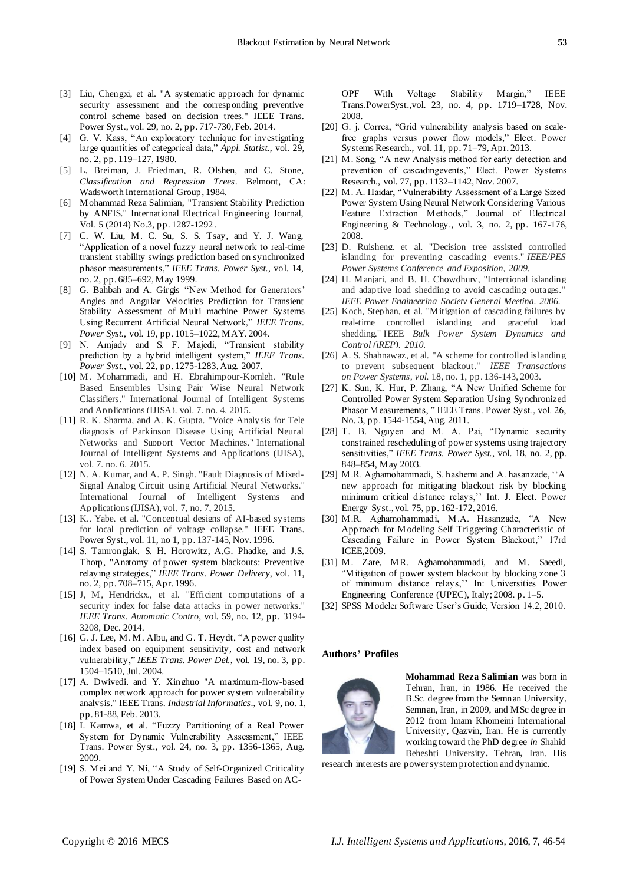- [3] Liu, Chengxi, et al. "A systematic approach for dynamic security assessment and the corresponding preventive control scheme based on decision trees." IEEE Trans. Power Syst., vol. 29, no. 2, pp. 717-730, Feb. 2014.
- [4] G. V. Kass, "An exploratory technique for investigating large quantities of categorical data," Appl. Statist., vol. 29, no. 2, pp. 119–127, 1980.
- [5] L. Breiman, J. Friedman, R. Olshen, and C. Stone*, Classification and Regression Trees*. Belmont, CA: Wadsworth International Group, 1984.
- [6] Mohammad Reza Salimian, "Transient Stability Prediction by ANFIS." International Electrical Engineering Journal, Vol. 5 (2014) No.3, pp. 1287-1292 .
- [7] C. W. Liu, M. C. Su, S. S. Tsay, and Y. J. Wang, ―Application of a novel fuzzy neural network to real-time transient stability swings prediction based on synchronized phasor measurements,‖ *IEEE Trans. Power Syst.*, vol. 14, no. 2, pp. 685–692, May 1999.
- [8] G. Bahbah and A. Girgis "New Method for Generators' Angles and Angular Velocities Prediction for Transient Stability Assessment of Multi machine Power Systems Using Recurrent Artificial Neural Network," IEEE Trans. *Power Syst.*, vol. 19, pp. 1015–1022, MAY. 2004.
- [9] N. Amjady and S. F. Majedi, "Transient stability prediction by a hybrid intelligent system," *IEEE Trans. Power Syst.*, vol. 22, pp. 1275-1283, Aug. 2007.
- [10] M. Mohammadi, and H. Ebrahimpour-Komleh. "Rule Based Ensembles Using Pair Wise Neural Network Classifiers." International Journal of Intelligent Systems and Applications (IJISA), vol. 7, no. 4, 2015.
- [11] R. K. Sharma, and A. K. Gupta. "Voice Analysis for Tele diagnosis of Parkinson Disease Using Artificial Neural Networks and Support Vector Machines." International Journal of Intelligent Systems and Applications (IJISA), vol. 7, no. 6, 2015.
- [12] N. A. Kumar, and A. P. Singh. "Fault Diagnosis of Mixed-Signal Analog Circuit using Artificial Neural Networks." International Journal of Intelligent Systems and Applications (IJISA), vol. 7, no. 7, 2015.
- [13] K., Yabe, et al. "Conceptual designs of AI-based systems for local prediction of voltage collapse." IEEE Trans. Power Syst., vol. 11, no 1, pp. 137-145, Nov. 1996.
- [14] S. Tamronglak. S. H. Horowitz, A.G. Phadke, and J.S. Thorp, "Anatomy of power system blackouts: Preventive relaying strategies," IEEE Trans. Power Delivery, vol. 11, no. 2, pp. 708–715, Apr. 1996.
- [15] J, M, Hendrickx., et al. "Efficient computations of a security index for false data attacks in power networks." *IEEE Trans. Automatic Contro*, vol. 59, no. 12, pp. 3194- 3208, Dec. 2014.
- [16] G. J. Lee, M. M. Albu, and G. T. Heydt, "A power quality index based on equipment sensitivity, cost and network vulnerability," *IEEE Trans. Power Del.*, vol. 19, no. 3, pp. 1504–1510, Jul. 2004.
- [17] A. Dwivedi. and Y. Xinghuo "A maximum-flow-based complex network approach for power system vulnerability analysis." IEEE Trans. *Industrial Informatics*., vol. 9, no. 1, pp. 81-88, Feb. 2013.
- [18] I. Kamwa, et al. "Fuzzy Partitioning of a Real Power System for Dynamic Vulnerability Assessment," IEEE Trans. Power Syst., vol. 24, no. 3, pp. 1356-1365, Aug. 2009.
- [19] S. Mei and Y. Ni, "A Study of Self-Organized Criticality of Power System Under Cascading Failures Based on AC-

OPF With Voltage Stability Margin," IEEE Trans.PowerSyst.,vol. 23, no. 4, pp. 1719–1728, Nov. 2008.

- [20] G. j. Correa, "Grid vulnerability analysis based on scalefree graphs versus power flow models," Elect. Power Systems Research., vol. 11, pp. 71–79, Apr. 2013.
- [21] M. Song, "A new Analysis method for early detection and prevention of cascadingevents," Elect. Power Systems Research., vol. 77, pp. 1132–1142, Nov. 2007.
- [22] M. A. Haidar, "Vulnerability Assessment of a Large Sized Power System Using Neural Network Considering Various Feature Extraction Methods," Journal of Electrical Engineering & Technology., vol. 3, no. 2, pp. 167-176, 2008.
- [23] D. Ruisheng, et al. "Decision tree assisted controlled islanding for preventing cascading events." *IEEE/PES Power Systems Conference and Exposition, 2009.*
- [24] H. Manjari, and B. H. Chowdhury, "Intentional islanding and adaptive load shedding to avoid cascading outages." *IEEE Power Engineering Society General Meeting, 2006.*
- [25] Koch, Stephan, et al. "Mitigation of cascading failures by real-time controlled islanding and graceful load shedding." IEEE *Bulk Power System Dynamics and Control (iREP), 2010.*
- [26] A. S. Shahnawaz, et al. "A scheme for controlled islanding to prevent subsequent blackout." *IEEE Transactions on Power Systems, vol.* 18, no. 1, pp. 136-143, 2003.
- [27] K. Sun, K. Hur, P. Zhang, "A New Unified Scheme for Controlled Power System Separation Using Synchronized Phasor Measurements, "IEEE Trans. Power Syst., vol. 26, No. 3, pp. 1544-1554, Aug. 2011.
- [28] T. B. Nguyen and M. A. Pai, "Dynamic security constrained rescheduling of power systems using trajectory sensitivities," *IEEE Trans. Power Syst.*, vol. 18, no. 2, pp. 848–854, May 2003.
- [29] M.R. Aghamohammadi, S. hashemi and A. hasanzade, "A new approach for mitigating blackout risk by blocking minimum critical distance relays,'' Int. J. Elect. Power Energy Syst., vol. 75, pp. 162-172, 2016.
- [30] M.R. Aghamohammadi, M.A. Hasanzade, "A New Approach for Modeling Self Triggering Characteristic of Cascading Failure in Power System Blackout," 17rd ICEE,2009.
- [31] M. Zare, MR. Aghamohammadi, and M. Saeedi, ―Mitigation of power system blackout by blocking zone 3 of minimum distance relays,'' In: Universities Power Engineering Conference (UPEC), Italy; 2008. p. 1–5.
- [32] SPSS Modeler Software User's Guide, Version 14.2, 2010.

## **Authors' Profiles**



**Mohammad Reza Salimian** was born in Tehran, Iran, in 1986. He received the B.Sc. degree from the Semnan University, Semnan, Iran, in 2009, and MSc degree in 2012 from Imam Khomeini International University, Qazvin, Iran. He is currently working toward the PhD degree *in* Shahid Beheshti University*.* Tehran*,* Iran*.* His

research interests are power system protection and dynamic.